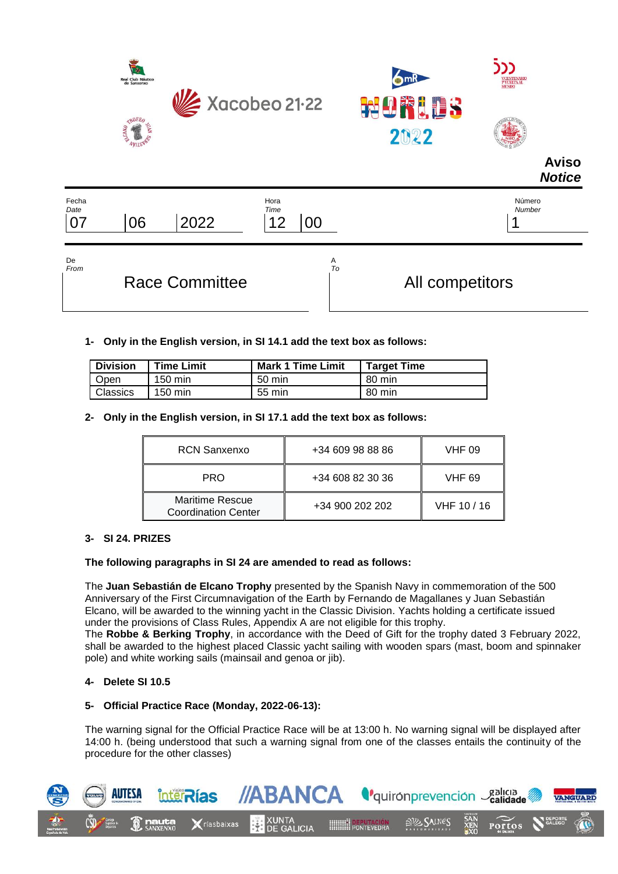



| Fecha<br>Date                           |                   |        | Hora<br>Time            | Número<br>Number |
|-----------------------------------------|-------------------|--------|-------------------------|------------------|
| $\overline{\phantom{a}}$<br><u>ਾ</u> ∪ੁ | $\sim$<br>١r<br>∼ | $\sim$ | $\Lambda$ $\Omega$<br>_ |                  |
|                                         |                   |        |                         |                  |

De Alexandro de la contrada de la contrada de la contrada de la contrada de la contrada de la contrada de la c

*From To* Race Committee **All competitors** 

**Aviso** *Notice*

**1- Only in the English version, in SI 14.1 add the text box as follows:**

| <b>Division</b> | <b>Time Limit</b> | <b>Mark 1 Time Limit</b> | <b>Target Time</b> |
|-----------------|-------------------|--------------------------|--------------------|
| <b>Open</b>     | 150 min           | 50 min                   | 80 min             |
| <b>Classics</b> | $150 \text{ min}$ | 55 min                   | 80 min             |

**2- Only in the English version, in SI 17.1 add the text box as follows:**

| <b>RCN Sanxenxo</b>                                  | +34 609 98 88 86 | <b>VHF 09</b> |
|------------------------------------------------------|------------------|---------------|
| <b>PRO</b>                                           | +34 608 82 30 36 | <b>VHF 69</b> |
| <b>Maritime Rescue</b><br><b>Coordination Center</b> | +34 900 202 202  | VHF 10/16     |

# **3- SI 24. PRIZES**

# **The following paragraphs in SI 24 are amended to read as follows:**

The **Juan Sebastián de Elcano Trophy** presented by the Spanish Navy in commemoration of the 500 Anniversary of the First Circumnavigation of the Earth by Fernando de Magallanes y Juan Sebastián Elcano, will be awarded to the winning yacht in the Classic Division. Yachts holding a certificate issued under the provisions of Class Rules, Appendix A are not eligible for this trophy.

The **Robbe & Berking Trophy**, in accordance with the Deed of Gift for the trophy dated 3 February 2022, shall be awarded to the highest placed Classic yacht sailing with wooden spars (mast, boom and spinnaker pole) and white working sails (mainsail and genoa or jib).

# **4- Delete SI 10.5**

# **5- Official Practice Race (Monday, 2022-06-13):**

The warning signal for the Official Practice Race will be at 13:00 h. No warning signal will be displayed after 14:00 h. (being understood that such a warning signal from one of the classes entails the continuity of the procedure for the other classes)